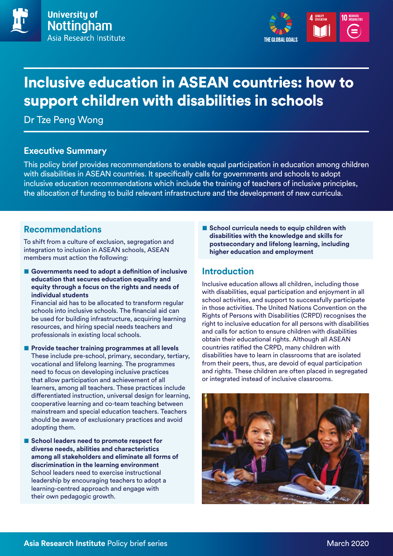



# Inclusive education in ASEAN countries: how to support children with disabilities in schools

Dr Tze Peng Wong

## **Executive Summary**

This policy brief provides recommendations to enable equal participation in education among children with disabilities in ASEAN countries. It specifically calls for governments and schools to adopt inclusive education recommendations which include the training of teachers of inclusive principles, the allocation of funding to build relevant infrastructure and the development of new curricula.

## **Recommendations**

To shift from a culture of exclusion, segregation and integration to inclusion in ASEAN schools, ASEAN members must action the following:

■ Governments need to adopt a definition of inclusive **education that secures education equality and equity through a focus on the rights and needs of individual students** 

Financial aid has to be allocated to transform regular schools into inclusive schools. The financial aid can be used for building infrastructure, acquiring learning resources, and hiring special needs teachers and professionals in existing local schools.

- **Provide teacher training programmes at all levels** These include pre-school, primary, secondary, tertiary, vocational and lifelong learning. The programmes need to focus on developing inclusive practices that allow participation and achievement of all learners, among all teachers. These practices include differentiated instruction, universal design for learning, cooperative learning and co-team teaching between mainstream and special education teachers. Teachers should be aware of exclusionary practices and avoid adopting them.
- **School leaders need to promote respect for diverse needs, abilities and characteristics among all stakeholders and eliminate all forms of discrimination in the learning environment**  School leaders need to exercise instructional leadership by encouraging teachers to adopt a learning-centred approach and engage with their own pedagogic growth.

■ **School curricula needs to equip children with disabilities with the knowledge and skills for postsecondary and lifelong learning, including higher education and employment**

# **Introduction**

Inclusive education allows all children, including those with disabilities, equal participation and enjoyment in all school activities, and support to successfully participate in those activities. The United Nations Convention on the Rights of Persons with Disabilities (CRPD) recognises the right to inclusive education for all persons with disabilities and calls for action to ensure children with disabilities obtain their educational rights. Although all ASEAN countries ratified the CRPD, many children with disabilities have to learn in classrooms that are isolated from their peers, thus, are devoid of equal participation and rights. These children are often placed in segregated or integrated instead of inclusive classrooms.

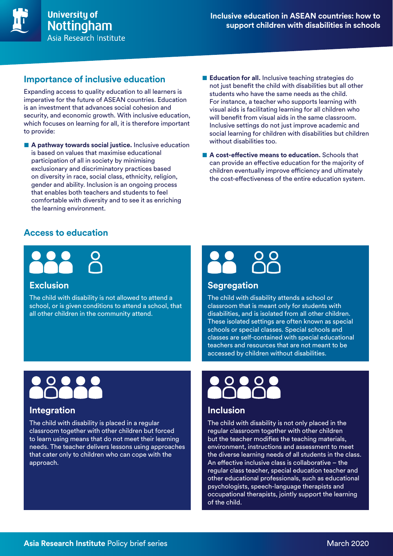

# **Importance of inclusive education**

Expanding access to quality education to all learners is imperative for the future of ASEAN countries. Education is an investment that advances social cohesion and security, and economic growth. With inclusive education, which focuses on learning for all, it is therefore important to provide:

■ **A pathway towards social justice.** Inclusive education is based on values that maximise educational participation of all in society by minimising exclusionary and discriminatory practices based on diversity in race, social class, ethnicity, religion, gender and ability. Inclusion is an ongoing process that enables both teachers and students to feel comfortable with diversity and to see it as enriching the learning environment.

- **Education for all.** Inclusive teaching strategies do not just benefit the child with disabilities but all other students who have the same needs as the child. For instance, a teacher who supports learning with visual aids is facilitating learning for all children who will benefit from visual aids in the same classroom. Inclusive settings do not just improve academic and social learning for children with disabilities but children without disabilities too.
- **A cost-effective means to education.** Schools that can provide an effective education for the majority of children eventually improve efficiency and ultimately the cost-effectiveness of the entire education system.

# **Access to education**



### **Exclusion**

The child with disability is not allowed to attend a school, or is given conditions to attend a school, that all other children in the community attend.



### **Segregation**

The child with disability attends a school or classroom that is meant only for students with disabilities, and is isolated from all other children. These isolated settings are often known as special schools or special classes. Special schools and classes are self-contained with special educational teachers and resources that are not meant to be accessed by children without disabilities.



# **Integration**

The child with disability is placed in a regular classroom together with other children but forced to learn using means that do not meet their learning needs. The teacher delivers lessons using approaches that cater only to children who can cope with the approach.



# **Inclusion**

The child with disability is not only placed in the regular classroom together with other children but the teacher modifies the teaching materials, environment, instructions and assessment to meet the diverse learning needs of all students in the class. An effective inclusive class is collaborative – the regular class teacher, special education teacher and other educational professionals, such as educational psychologists, speech-language therapists and occupational therapists, jointly support the learning of the child.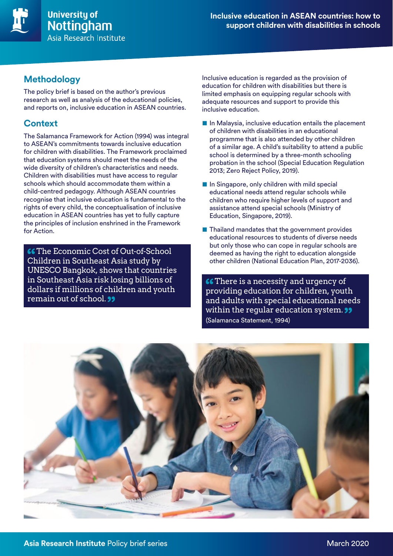

# **Methodology**

The policy brief is based on the author's previous research as well as analysis of the educational policies, and reports on, inclusive education in ASEAN countries.

# **Context**

The Salamanca Framework for Action (1994) was integral to ASEAN's commitments towards inclusive education for children with disabilities. The Framework proclaimed that education systems should meet the needs of the wide diversity of children's characteristics and needs. Children with disabilities must have access to regular schools which should accommodate them within a child-centred pedagogy. Although ASEAN countries recognise that inclusive education is fundamental to the rights of every child, the conceptualisation of inclusive education in ASEAN countries has yet to fully capture the principles of inclusion enshrined in the Framework for Action.

**66** The Economic Cost of Out-of-School Children in Southeast Asia study by UNESCO Bangkok, shows that countries in Southeast Asia risk losing billions of dollars if millions of children and youth remain out of school. **33** 

Inclusive education is regarded as the provision of education for children with disabilities but there is limited emphasis on equipping regular schools with adequate resources and support to provide this inclusive education.

- In Malaysia, inclusive education entails the placement of children with disabilities in an educational programme that is also attended by other children of a similar age. A child's suitability to attend a public school is determined by a three-month schooling probation in the school (Special Education Regulation 2013; Zero Reject Policy, 2019).
- In Singapore, only children with mild special educational needs attend regular schools while children who require higher levels of support and assistance attend special schools (Ministry of Education, Singapore, 2019).
- Thailand mandates that the government provides educational resources to students of diverse needs but only those who can cope in regular schools are deemed as having the right to education alongside other children (National Education Plan, 2017-2036).

**C** There is a necessity and urgency of providing education for children, youth and adults with special educational needs within the regular education system. **99** (Salamanca Statement, 1994)